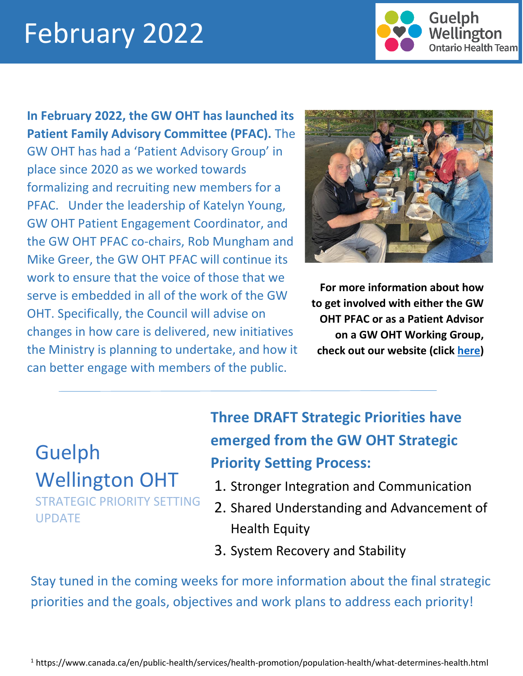# February 2022

I



**In February 2022, the GW OHT has launched its Patient Family Advisory Committee (PFAC).** The GW OHT has had a 'Patient Advisory Group' in place since 2020 as we worked towards formalizing and recruiting new members for a PFAC. Under the leadership of Katelyn Young, GW OHT Patient Engagement Coordinator, and the GW OHT PFAC co-chairs, Rob Mungham and Mike Greer, the GW OHT PFAC will continue its work to ensure that the voice of those that we serve is embedded in all of the work of the GW OHT. Specifically, the Council will advise on changes in how care is delivered, new initiatives the Ministry is planning to undertake, and how it can better engage with members of the public.



**For more information about how to get involved with either the GW OHT PFAC or as a Patient Advisor on a GW OHT Working Group, check out our website (click [here\)](https://guelphwellingtonoht.com/get-involved/)**

## Guelph Wellington OHT

STRATEGIC PRIORITY SETTING UPDATE

## **Three DRAFT Strategic Priorities have emerged from the GW OHT Strategic Priority Setting Process:**

- 1. Stronger Integration and Communication
- 2. Shared Understanding and Advancement of Health Equity
- 3. System Recovery and Stability

Stay tuned in the coming weeks for more information about the final strategic priorities and the goals, objectives and work plans to address each priority!

<sup>1</sup> https://www.canada.ca/en/public-health/services/health-promotion/population-health/what-determines-health.html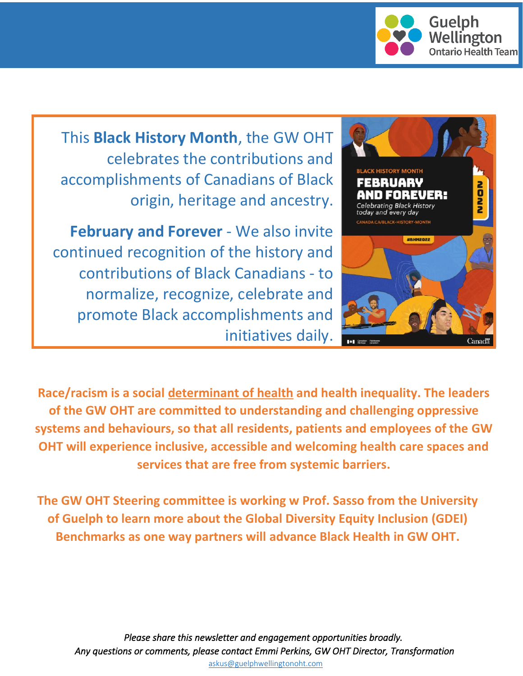

This **Black History Month**, the GW OHT celebrates the contributions and accomplishments of Canadians of Black origin, heritage and ancestry.

**February and Forever** - We also invite continued recognition of the history and contributions of Black Canadians - to normalize, recognize, celebrate and promote Black accomplishments and initiatives daily.



**Race/racism is a social [determinant of health](https://www.canada.ca/en/public-health/services/health-promotion/population-health/what-determines-health.html) and health inequality. The leaders of the GW OHT are committed to understanding and challenging oppressive systems and behaviours, so that all residents, patients and employees of the GW OHT will experience inclusive, accessible and welcoming health care spaces and services that are free from systemic barriers.**

**The GW OHT Steering committee is working w Prof. Sasso from the University of Guelph to learn more about the Global Diversity Equity Inclusion (GDEI) Benchmarks as one way partners will advance Black Health in GW OHT.**

*Please share this newsletter and engagement opportunities broadly. Any questions or comments, please contact Emmi Perkins, GW OHT Director, Transformation* [askus@guelphwellingtonoht.com](mailto:askus@guelphwellingtonoht.com)